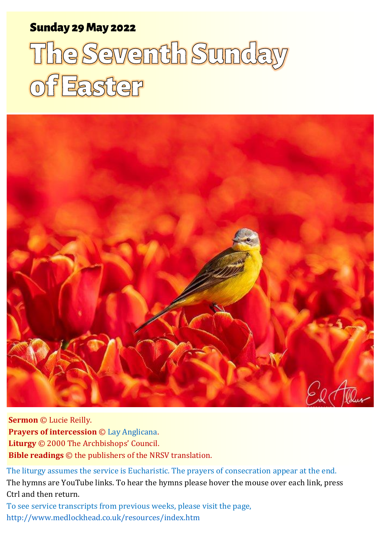# Sunday 29 May 2022 1 The Seventh Sunday of Easter Sunday 29May 2022

# The Seventh Sunday of Easter



**Sermon** © Lucie Reilly. **Prayers of intercession** © [Lay Anglicana.](http://www.layanglicana.org/blog/2013/05/08/intercessions-for-seventh-sunday-of-easter-12-may-2013/) **Liturgy** © 2000 The Archbishops' Council. **Bible readings** © the publishers of the NRSV translation.

The liturgy assumes the service is Eucharistic. The prayers of consecration appear at the end. The hymns are YouTube links. To hear the hymns please hover the mouse over each link, press Ctrl and then return.

To see service transcripts from previous weeks, please visit the page, <http://www.medlockhead.co.uk/resources/index.htm>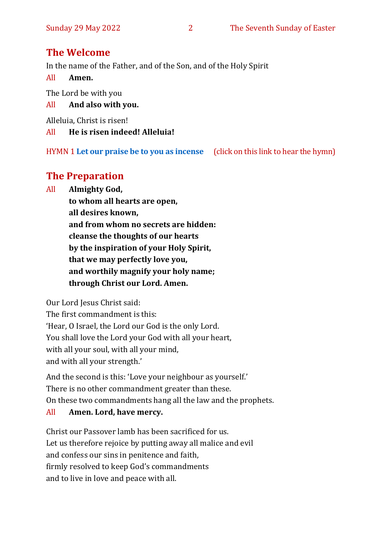# **The Welcome**

In the name of the Father, and of the Son, and of the Holy Spirit

All **Amen.**

The Lord be with you

All **And also with you.**

Alleluia, Christ is risen!

All **He is risen indeed! Alleluia!**

HYMN 1 **[Let our praise be to you as incense](https://www.youtube.com/watch?v=s0z4_uYTD24)** (click on this link to hear the hymn)

# **The Preparation**

All **Almighty God,**

**to whom all hearts are open, all desires known, and from whom no secrets are hidden: cleanse the thoughts of our hearts by the inspiration of your Holy Spirit, that we may perfectly love you, and worthily magnify your holy name; through Christ our Lord. Amen.**

Our Lord Jesus Christ said:

The first commandment is this: 'Hear, O Israel, the Lord our God is the only Lord. You shall love the Lord your God with all your heart, with all your soul, with all your mind, and with all your strength.'

And the second is this: 'Love your neighbour as yourself.' There is no other commandment greater than these. On these two commandments hang all the law and the prophets.

#### All **Amen. Lord, have mercy.**

Christ our Passover lamb has been sacrificed for us. Let us therefore rejoice by putting away all malice and evil and confess our sins in penitence and faith, firmly resolved to keep God's commandments and to live in love and peace with all.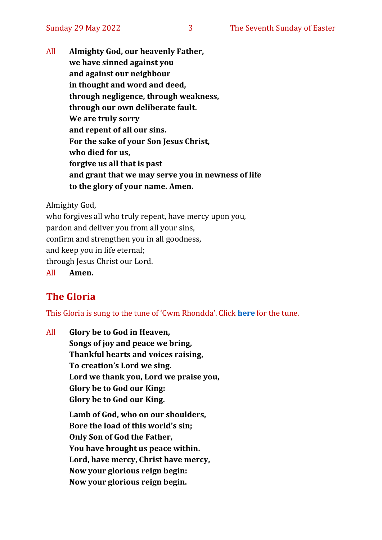All **Almighty God, our heavenly Father, we have sinned against you and against our neighbour in thought and word and deed, through negligence, through weakness, through our own deliberate fault. We are truly sorry and repent of all our sins. For the sake of your Son Jesus Christ, who died for us, forgive us all that is past and grant that we may serve you in newness of life to the glory of your name. Amen.**

Almighty God,

who forgives all who truly repent, have mercy upon you, pardon and deliver you from all your sins, confirm and strengthen you in all goodness, and keep you in life eternal; through Jesus Christ our Lord. All **Amen.**

# **The Gloria**

This Gloria is sung to the tune of 'Cwm Rhondda'. Click **[here](about:blank)** for the tune.

All **Glory be to God in Heaven, Songs of joy and peace we bring, Thankful hearts and voices raising, To creation's Lord we sing. Lord we thank you, Lord we praise you, Glory be to God our King: Glory be to God our King.**

> **Lamb of God, who on our shoulders, Bore the load of this world's sin; Only Son of God the Father, You have brought us peace within. Lord, have mercy, Christ have mercy, Now your glorious reign begin: Now your glorious reign begin.**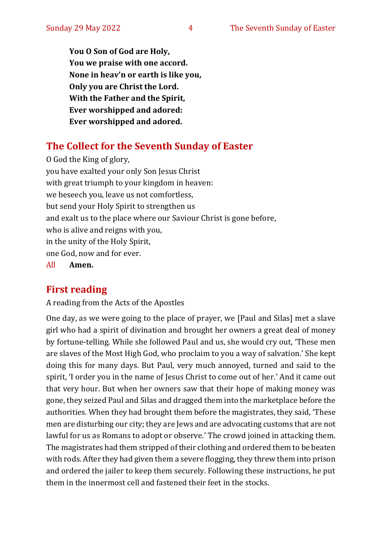**You O Son of God are Holy, You we praise with one accord. None in heav'n or earth is like you, Only you are Christ the Lord. With the Father and the Spirit, Ever worshipped and adored: Ever worshipped and adored.**

# **The Collect for the Seventh Sunday of Easter**

O God the King of glory, you have exalted your only Son Jesus Christ with great triumph to your kingdom in heaven: we beseech you, leave us not comfortless, but send your Holy Spirit to strengthen us and exalt us to the place where our Saviour Christ is gone before, who is alive and reigns with you, in the unity of the Holy Spirit, one God, now and for ever. All **Amen.**

# **First reading**

A reading from the Acts of the Apostles

One day, as we were going to the place of prayer, we [Paul and Silas] met a slave girl who had a spirit of divination and brought her owners a great deal of money by fortune-telling. While she followed Paul and us, she would cry out, 'These men are slaves of the Most High God, who proclaim to you a way of salvation.' She kept doing this for many days. But Paul, very much annoyed, turned and said to the spirit, 'I order you in the name of Jesus Christ to come out of her.' And it came out that very hour. But when her owners saw that their hope of making money was gone, they seized Paul and Silas and dragged them into the marketplace before the authorities. When they had brought them before the magistrates, they said, 'These men are disturbing our city; they are Jews and are advocating customs that are not lawful for us as Romans to adopt or observe.' The crowd joined in attacking them. The magistrates had them stripped of their clothing and ordered them to be beaten with rods. After they had given them a severe flogging, they threw them into prison and ordered the jailer to keep them securely. Following these instructions, he put them in the innermost cell and fastened their feet in the stocks.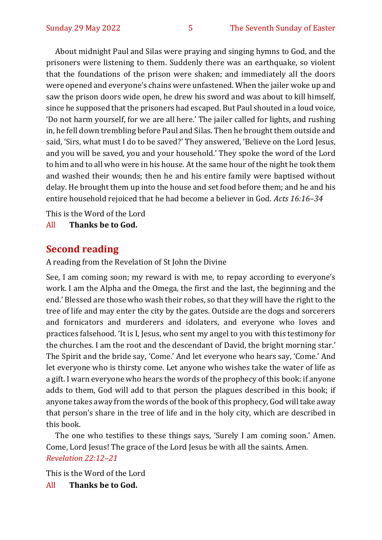About midnight Paul and Silas were praying and singing hymns to God, and the prisoners were listening to them. Suddenly there was an earthquake, so violent that the foundations of the prison were shaken; and immediately all the doors were opened and everyone's chains were unfastened. When the jailer woke up and saw the prison doors wide open, he drew his sword and was about to kill himself, since he supposed that the prisoners had escaped. But Paul shouted in a loud voice, 'Do not harm yourself, for we are all here.' The jailer called for lights, and rushing in, he fell down trembling before Paul and Silas. Then he brought them outside and said, 'Sirs, what must I do to be saved?' They answered, 'Believe on the Lord Jesus, and you will be saved, you and your household.' They spoke the word of the Lord to him and to all who were in his house. At the same hour of the night he took them and washed their wounds; then he and his entire family were baptised without delay. He brought them up into the house and set food before them; and he and his entire household rejoiced that he had become a believer in God. *Acts 16:16–34*

This is the Word of the Lord

All **Thanks be to God.**

## **Second reading**

A reading from the Revelation of St John the Divine

See, I am coming soon; my reward is with me, to repay according to everyone's work. I am the Alpha and the Omega, the first and the last, the beginning and the end.' Blessed are those who wash their robes, so that they will have the right to the tree of life and may enter the city by the gates. Outside are the dogs and sorcerers and fornicators and murderers and idolaters, and everyone who loves and practices falsehood. 'It is I, Jesus, who sent my angel to you with this testimony for the churches. I am the root and the descendant of David, the bright morning star.' The Spirit and the bride say, 'Come.' And let everyone who hears say, 'Come.' And let everyone who is thirsty come. Let anyone who wishes take the water of life as a gift. I warn everyone who hears the words of the prophecy of this book: if anyone adds to them, God will add to that person the plagues described in this book; if anyone takes away from the words of the book of this prophecy, God will take away that person's share in the tree of life and in the holy city, which are described in this book.

The one who testifies to these things says, 'Surely I am coming soon.' Amen. Come, Lord Jesus! The grace of the Lord Jesus be with all the saints. Amen. *Revelation 22:12–21*

This is the Word of the Lord

All **Thanks be to God.**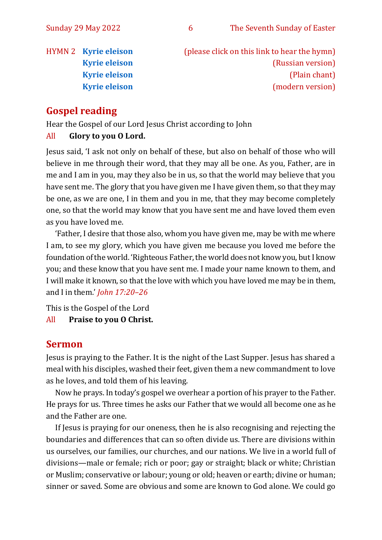HYMN 2 **[Kyrie eleison](https://www.youtube.com/watch?v=b8WdyJHLUgg)** (please click on this link to hear the hymn) **[Kyrie eleison](https://www.youtube.com/watch?v=mAZC4oe9VM0)** (Russian version) **[Kyrie eleison](https://www.youtube.com/watch?v=TufmraHIh14)** (Plain chant) **[Kyrie eleison](https://www.youtube.com/watch?v=YDRkTKvM1aw)** (modern version)

# **Gospel reading**

Hear the Gospel of our Lord Jesus Christ according to John

#### All **Glory to you O Lord.**

Jesus said, 'I ask not only on behalf of these, but also on behalf of those who will believe in me through their word, that they may all be one. As you, Father, are in me and I am in you, may they also be in us, so that the world may believe that you have sent me. The glory that you have given me I have given them, so that they may be one, as we are one, I in them and you in me, that they may become completely one, so that the world may know that you have sent me and have loved them even as you have loved me.

'Father, I desire that those also, whom you have given me, may be with me where I am, to see my glory, which you have given me because you loved me before the foundation of the world. 'Righteous Father, the world does not know you, but I know you; and these know that you have sent me. I made your name known to them, and I will make it known, so that the love with which you have loved me may be in them, and I in them.' *John 17:20–26*

This is the Gospel of the Lord

All **Praise to you O Christ.** 

#### **Sermon**

Jesus is praying to the Father. It is the night of the Last Supper. Jesus has shared a meal with his disciples, washed their feet, given them a new commandment to love as he loves, and told them of his leaving.

Now he prays. In today's gospel we overhear a portion of his prayer to the Father. He prays for us. Three times he asks our Father that we would all become one as he and the Father are one.

If Jesus is praying for our oneness, then he is also recognising and rejecting the boundaries and differences that can so often divide us. There are divisions within us ourselves, our families, our churches, and our nations. We live in a world full of divisions—male or female; rich or poor; gay or straight; black or white; Christian or Muslim; conservative or labour; young or old; heaven or earth; divine or human; sinner or saved. Some are obvious and some are known to God alone. We could go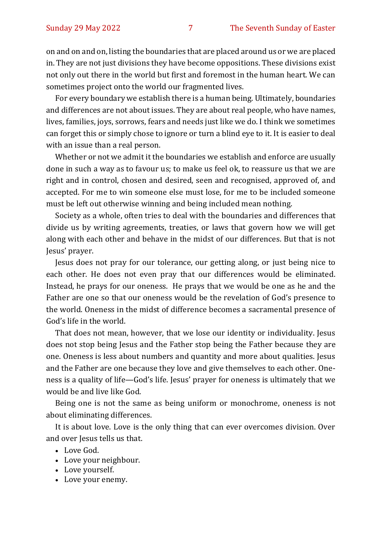on and on and on, listing the boundaries that are placed around us or we are placed in. They are not just divisions they have become oppositions. These divisions exist not only out there in the world but first and foremost in the human heart. We can sometimes project onto the world our fragmented lives.

For every boundary we establish there is a human being. Ultimately, boundaries and differences are not about issues. They are about real people, who have names, lives, families, joys, sorrows, fears and needs just like we do. I think we sometimes can forget this or simply chose to ignore or turn a blind eye to it. It is easier to deal with an issue than a real person.

Whether or not we admit it the boundaries we establish and enforce are usually done in such a way as to favour us; to make us feel ok, to reassure us that we are right and in control, chosen and desired, seen and recognised, approved of, and accepted. For me to win someone else must lose, for me to be included someone must be left out otherwise winning and being included mean nothing.

Society as a whole, often tries to deal with the boundaries and differences that divide us by writing agreements, treaties, or laws that govern how we will get along with each other and behave in the midst of our differences. But that is not Jesus' prayer.

Jesus does not pray for our tolerance, our getting along, or just being nice to each other. He does not even pray that our differences would be eliminated. Instead, he prays for our oneness. He prays that we would be one as he and the Father are one so that our oneness would be the revelation of God's presence to the world. Oneness in the midst of difference becomes a sacramental presence of God's life in the world.

That does not mean, however, that we lose our identity or individuality. Jesus does not stop being Jesus and the Father stop being the Father because they are one. Oneness is less about numbers and quantity and more about qualities. Jesus and the Father are one because they love and give themselves to each other. Oneness is a quality of life—God's life. Jesus' prayer for oneness is ultimately that we would be and live like God.

Being one is not the same as being uniform or monochrome, oneness is not about eliminating differences.

It is about love. Love is the only thing that can ever overcomes division. Over and over Jesus tells us that.

- Love God.
- Love your neighbour.
- Love yourself.
- Love your enemy.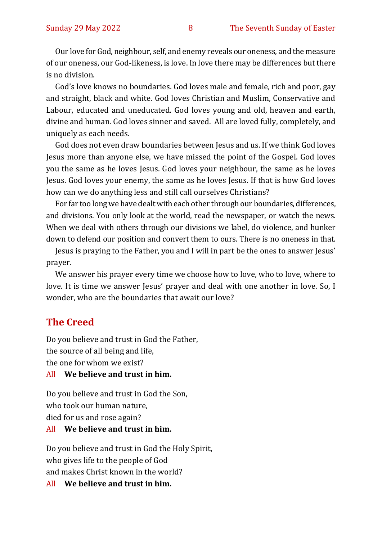Our love for God, neighbour, self, and enemy reveals our oneness, and the measure of our oneness, our God-likeness, is love. In love there may be differences but there is no division.

God's love knows no boundaries. God loves male and female, rich and poor, gay and straight, black and white. God loves Christian and Muslim, Conservative and Labour, educated and uneducated. God loves young and old, heaven and earth, divine and human. God loves sinner and saved. All are loved fully, completely, and uniquely as each needs.

God does not even draw boundaries between Jesus and us. If we think God loves Jesus more than anyone else, we have missed the point of the Gospel. God loves you the same as he loves Jesus. God loves your neighbour, the same as he loves Jesus. God loves your enemy, the same as he loves Jesus. If that is how God loves how can we do anything less and still call ourselves Christians?

For far too long we have dealt with each other through our boundaries, differences, and divisions. You only look at the world, read the newspaper, or watch the news. When we deal with others through our divisions we label, do violence, and hunker down to defend our position and convert them to ours. There is no oneness in that.

Jesus is praying to the Father, you and I will in part be the ones to answer Jesus' prayer.

We answer his prayer every time we choose how to love, who to love, where to love. It is time we answer Jesus' prayer and deal with one another in love. So, I wonder, who are the boundaries that await our love?

#### **The Creed**

Do you believe and trust in God the Father, the source of all being and life, the one for whom we exist?

#### All **We believe and trust in him.**

Do you believe and trust in God the Son, who took our human nature, died for us and rose again? All **We believe and trust in him.**

Do you believe and trust in God the Holy Spirit, who gives life to the people of God and makes Christ known in the world?

All **We believe and trust in him.**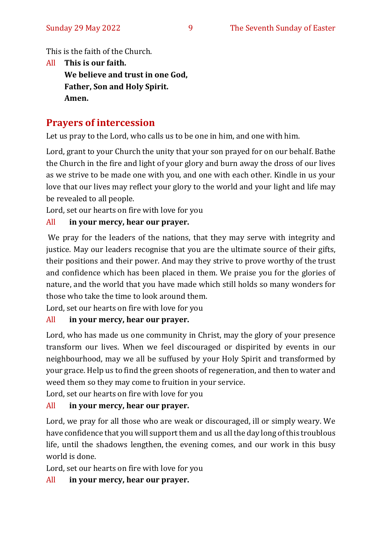This is the faith of the Church.

All **This is our faith. We believe and trust in one God, Father, Son and Holy Spirit. Amen.**

# **Prayers of intercession**

Let us pray to the Lord, who calls us to be one in him, and one with him.

Lord, grant to your Church the unity that your son prayed for on our behalf. Bathe the Church in the fire and light of your glory and burn away the dross of our lives as we strive to be made one with you, and one with each other. Kindle in us your love that our lives may reflect your glory to the world and your light and life may be revealed to all people.

Lord, set our hearts on fire with love for you

#### All **in your mercy, hear our prayer.**

We pray for the leaders of the nations, that they may serve with integrity and justice. May our leaders recognise that you are the ultimate source of their gifts, their positions and their power. And may they strive to prove worthy of the trust and confidence which has been placed in them. We praise you for the glories of nature, and the world that you have made which still holds so many wonders for those who take the time to look around them.

Lord, set our hearts on fire with love for you

#### All **in your mercy, hear our prayer.**

Lord, who has made us one community in Christ, may the glory of your presence transform our lives. When we feel discouraged or dispirited by events in our neighbourhood, may we all be suffused by your Holy Spirit and transformed by your grace. Help us to find the green shoots of regeneration, and then to water and weed them so they may come to fruition in your service.

Lord, set our hearts on fire with love for you

#### All **in your mercy, hear our prayer.**

Lord, we pray for all those who are weak or discouraged, ill or simply weary. We have confidence that you will support them and us all the day long of this troublous life, until the shadows lengthen, the evening comes, and our work in this busy world is done.

Lord, set our hearts on fire with love for you

#### All **in your mercy, hear our prayer.**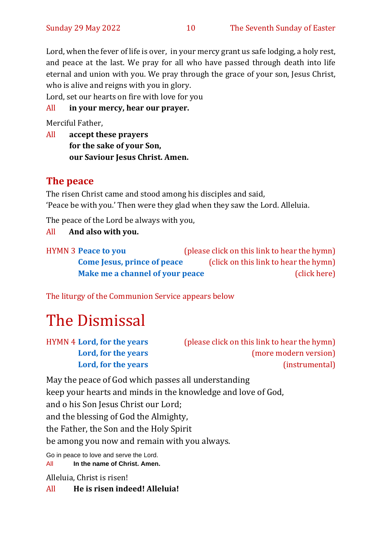Lord, when the fever of life is over, in your mercy grant us safe lodging, a holy rest, and peace at the last. We pray for all who have passed through death into life eternal and union with you. We pray through the grace of your son, Jesus Christ, who is alive and reigns with you in glory.

Lord, set our hearts on fire with love for you

#### All **in your mercy, hear our prayer.**

Merciful Father,

All **accept these prayers for the sake of your Son, our Saviour Jesus Christ. Amen.**

#### **The peace**

The risen Christ came and stood among his disciples and said, 'Peace be with you.' Then were they glad when they saw the Lord. Alleluia.

The peace of the Lord be always with you,

All **And also with you.**

| <b>HYMN 3 Peace to you</b>         |  | (please click on this link to hear the hymn) |
|------------------------------------|--|----------------------------------------------|
| <b>Come Jesus, prince of peace</b> |  | (click on this link to hear the hymn)        |
| Make me a channel of your peace    |  | (click here)                                 |

The liturgy of the Communion Service appears below

# The Dismissal

| <b>HYMN 4 Lord, for the years</b> | (please click on this link to hear the hymn) |
|-----------------------------------|----------------------------------------------|
| Lord, for the years               | (more modern version)                        |
| Lord, for the years               | (instrumental)                               |

May the peace of God which passes all understanding keep your hearts and minds in the knowledge and love of God, and o his Son Jesus Christ our Lord; and the blessing of God the Almighty, the Father, the Son and the Holy Spirit be among you now and remain with you always. Go in peace to love and serve the Lord. All **In the name of Christ. Amen.**

Alleluia, Christ is risen!

All **He is risen indeed! Alleluia!**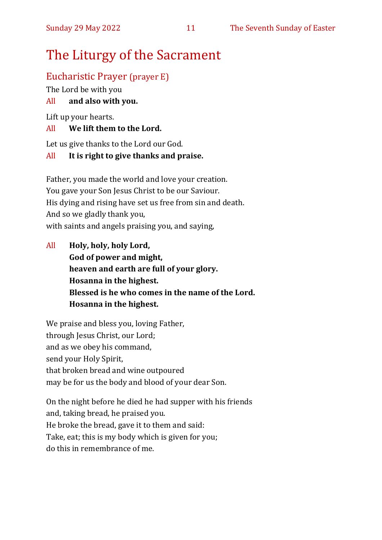# The Liturgy of the Sacrament

# Eucharistic Prayer (prayer E)

The Lord be with you

#### All **and also with you.**

Lift up your hearts.

#### All **We lift them to the Lord.**

Let us give thanks to the Lord our God.

#### All **It is right to give thanks and praise.**

Father, you made the world and love your creation. You gave your Son Jesus Christ to be our Saviour. His dying and rising have set us free from sin and death. And so we gladly thank you, with saints and angels praising you, and saying,

All **Holy, holy, holy Lord, God of power and might, heaven and earth are full of your glory. Hosanna in the highest. Blessed is he who comes in the name of the Lord. Hosanna in the highest.**

We praise and bless you, loving Father, through Jesus Christ, our Lord; and as we obey his command, send your Holy Spirit, that broken bread and wine outpoured may be for us the body and blood of your dear Son.

On the night before he died he had supper with his friends and, taking bread, he praised you. He broke the bread, gave it to them and said: Take, eat; this is my body which is given for you; do this in remembrance of me.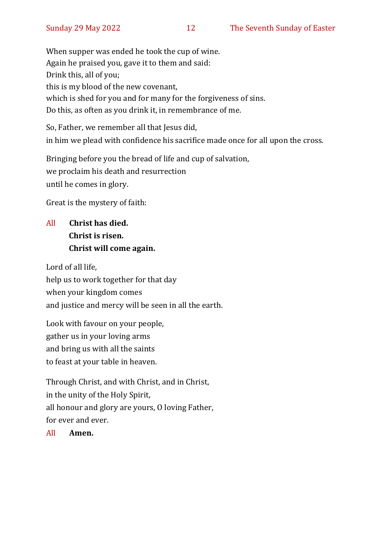When supper was ended he took the cup of wine. Again he praised you, gave it to them and said: Drink this, all of you; this is my blood of the new covenant, which is shed for you and for many for the forgiveness of sins. Do this, as often as you drink it, in remembrance of me.

So, Father, we remember all that Jesus did, in him we plead with confidence his sacrifice made once for all upon the cross.

Bringing before you the bread of life and cup of salvation, we proclaim his death and resurrection until he comes in glory.

Great is the mystery of faith:

# All **Christ has died. Christ is risen. Christ will come again.**

Lord of all life, help us to work together for that day when your kingdom comes and justice and mercy will be seen in all the earth.

Look with favour on your people, gather us in your loving arms and bring us with all the saints to feast at your table in heaven.

Through Christ, and with Christ, and in Christ, in the unity of the Holy Spirit, all honour and glory are yours, O loving Father, for ever and ever.

All **Amen.**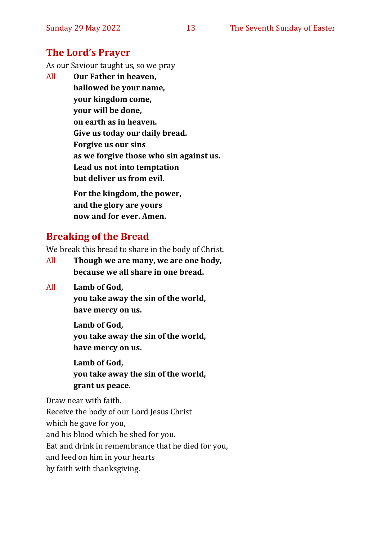#### **The Lord's Prayer**

As our Saviour taught us, so we pray

All **Our Father in heaven, hallowed be your name, your kingdom come, your will be done, on earth as in heaven. Give us today our daily bread. Forgive us our sins as we forgive those who sin against us. Lead us not into temptation but deliver us from evil. For the kingdom, the power,** 

**and the glory are yours now and for ever. Amen.**

## **Breaking of the Bread**

We break this bread to share in the body of Christ.

- All **Though we are many, we are one body, because we all share in one bread.**
- All **Lamb of God,**

**you take away the sin of the world, have mercy on us.**

**Lamb of God, you take away the sin of the world, have mercy on us.**

**Lamb of God, you take away the sin of the world, grant us peace.**

Draw near with faith.

Receive the body of our Lord Jesus Christ which he gave for you, and his blood which he shed for you. Eat and drink in remembrance that he died for you, and feed on him in your hearts by faith with thanksgiving.